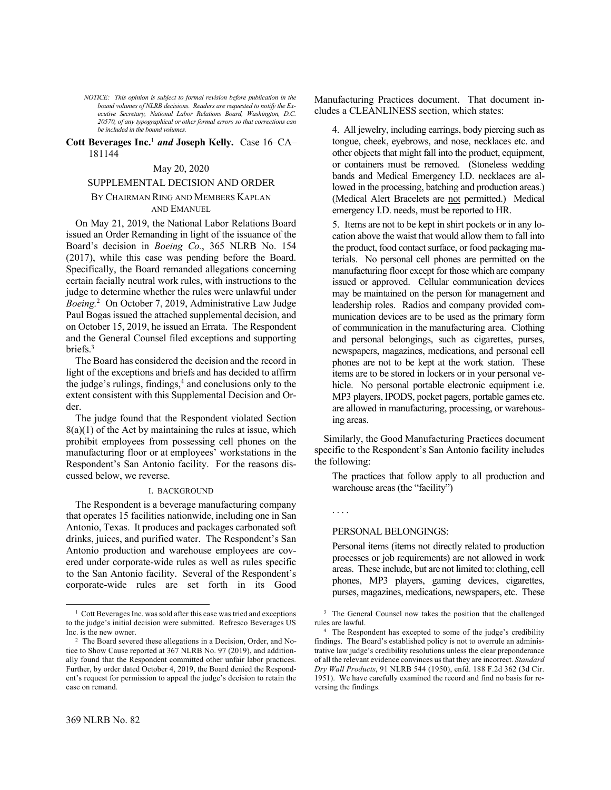*NOTICE: This opinion is subject to formal revision before publication in the bound volumes of NLRB decisions. Readers are requested to notify the Executive Secretary, National Labor Relations Board, Washington, D.C. 20570, of any typographical or other formal errors so that corrections can be included in the bound volumes.*

# **Cott Beverages Inc.**<sup>1</sup> *and* **Joseph Kelly.** Case 16–CA– 181144

## May 20, 2020

# SUPPLEMENTAL DECISION AND ORDER

# BY CHAIRMAN RING AND MEMBERS KAPLAN AND EMANUEL

On May 21, 2019, the National Labor Relations Board issued an Order Remanding in light of the issuance of the Board's decision in *Boeing Co.*, 365 NLRB No. 154 (2017), while this case was pending before the Board. Specifically, the Board remanded allegations concerning certain facially neutral work rules, with instructions to the judge to determine whether the rules were unlawful under Boeing.<sup>2</sup> On October 7, 2019, Administrative Law Judge Paul Bogas issued the attached supplemental decision, and on October 15, 2019, he issued an Errata. The Respondent and the General Counsel filed exceptions and supporting briefs.<sup>3</sup>

The Board has considered the decision and the record in light of the exceptions and briefs and has decided to affirm the judge's rulings, findings,<sup>4</sup> and conclusions only to the extent consistent with this Supplemental Decision and Order.

The judge found that the Respondent violated Section  $8(a)(1)$  of the Act by maintaining the rules at issue, which prohibit employees from possessing cell phones on the manufacturing floor or at employees' workstations in the Respondent's San Antonio facility. For the reasons discussed below, we reverse.

### I. BACKGROUND

The Respondent is a beverage manufacturing company that operates 15 facilities nationwide, including one in San Antonio, Texas. It produces and packages carbonated soft drinks, juices, and purified water. The Respondent's San Antonio production and warehouse employees are covered under corporate-wide rules as well as rules specific to the San Antonio facility. Several of the Respondent's corporate-wide rules are set forth in its Good 4. All jewelry, including earrings, body piercing such as tongue, cheek, eyebrows, and nose, necklaces etc. and other objects that might fall into the product, equipment, or containers must be removed. (Stoneless wedding bands and Medical Emergency I.D. necklaces are allowed in the processing, batching and production areas.) (Medical Alert Bracelets are not permitted.) Medical emergency I.D. needs, must be reported to HR.

5. Items are not to be kept in shirt pockets or in any location above the waist that would allow them to fall into the product, food contact surface, or food packaging materials. No personal cell phones are permitted on the manufacturing floor except for those which are company issued or approved. Cellular communication devices may be maintained on the person for management and leadership roles. Radios and company provided communication devices are to be used as the primary form of communication in the manufacturing area. Clothing and personal belongings, such as cigarettes, purses, newspapers, magazines, medications, and personal cell phones are not to be kept at the work station. These items are to be stored in lockers or in your personal vehicle. No personal portable electronic equipment i.e. MP3 players, IPODS, pocket pagers, portable games etc. are allowed in manufacturing, processing, or warehousing areas.

Similarly, the Good Manufacturing Practices document specific to the Respondent's San Antonio facility includes the following:

The practices that follow apply to all production and warehouse areas (the "facility")

# . . . .

# PERSONAL BELONGINGS:

Personal items (items not directly related to production processes or job requirements) are not allowed in work areas. These include, but are not limited to: clothing, cell phones, MP3 players, gaming devices, cigarettes, purses, magazines, medications, newspapers, etc. These

<sup>&</sup>lt;sup>1</sup> Cott Beverages Inc. was sold after this case was tried and exceptions to the judge's initial decision were submitted. Refresco Beverages US Inc. is the new owner.

<sup>2</sup> The Board severed these allegations in a Decision, Order, and Notice to Show Cause reported at 367 NLRB No. 97 (2019), and additionally found that the Respondent committed other unfair labor practices. Further, by order dated October 4, 2019, the Board denied the Respondent's request for permission to appeal the judge's decision to retain the case on remand.

<sup>&</sup>lt;sup>3</sup> The General Counsel now takes the position that the challenged rules are lawful.

<sup>&</sup>lt;sup>4</sup> The Respondent has excepted to some of the judge's credibility findings. The Board's established policy is not to overrule an administrative law judge's credibility resolutions unless the clear preponderance of all the relevant evidence convinces us that they are incorrect. *Standard Dry Wall Products*, 91 NLRB 544 (1950), enfd. 188 F.2d 362 (3d Cir. 1951). We have carefully examined the record and find no basis for reversing the findings.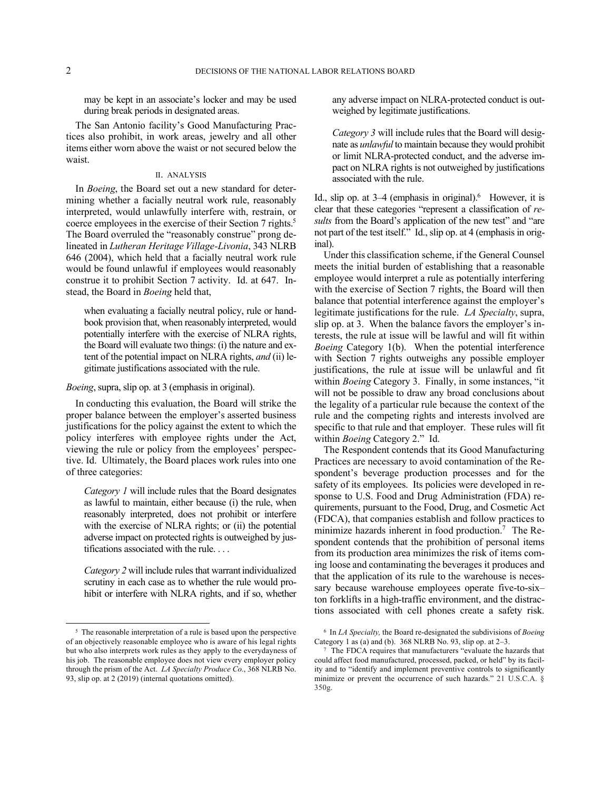may be kept in an associate's locker and may be used during break periods in designated areas.

The San Antonio facility's Good Manufacturing Practices also prohibit, in work areas, jewelry and all other items either worn above the waist or not secured below the waist.

# II. ANALYSIS

In *Boeing*, the Board set out a new standard for determining whether a facially neutral work rule, reasonably interpreted, would unlawfully interfere with, restrain, or coerce employees in the exercise of their Section 7 rights.<sup>5</sup> The Board overruled the "reasonably construe" prong delineated in *Lutheran Heritage Village-Livonia*, 343 NLRB 646 (2004), which held that a facially neutral work rule would be found unlawful if employees would reasonably construe it to prohibit Section 7 activity. Id. at 647. Instead, the Board in *Boeing* held that,

when evaluating a facially neutral policy, rule or handbook provision that, when reasonably interpreted, would potentially interfere with the exercise of NLRA rights, the Board will evaluate two things: (i) the nature and extent of the potential impact on NLRA rights, *and* (ii) legitimate justifications associated with the rule.

# *Boeing*, supra, slip op. at 3 (emphasis in original).

In conducting this evaluation, the Board will strike the proper balance between the employer's asserted business justifications for the policy against the extent to which the policy interferes with employee rights under the Act, viewing the rule or policy from the employees' perspective. Id. Ultimately, the Board places work rules into one of three categories:

*Category 1* will include rules that the Board designates as lawful to maintain, either because (i) the rule, when reasonably interpreted, does not prohibit or interfere with the exercise of NLRA rights; or (ii) the potential adverse impact on protected rights is outweighed by justifications associated with the rule. . . .

*Category 2* will include rules that warrant individualized scrutiny in each case as to whether the rule would prohibit or interfere with NLRA rights, and if so, whether any adverse impact on NLRA-protected conduct is outweighed by legitimate justifications.

*Category 3* will include rules that the Board will designate as *unlawful* to maintain because they would prohibit or limit NLRA-protected conduct, and the adverse impact on NLRA rights is not outweighed by justifications associated with the rule.

Id., slip op. at  $3-4$  (emphasis in original). However, it is clear that these categories "represent a classification of *results* from the Board's application of the new test" and "are not part of the test itself." Id., slip op. at 4 (emphasis in original).

Under this classification scheme, if the General Counsel meets the initial burden of establishing that a reasonable employee would interpret a rule as potentially interfering with the exercise of Section 7 rights, the Board will then balance that potential interference against the employer's legitimate justifications for the rule. *LA Specialty*, supra, slip op. at 3. When the balance favors the employer's interests, the rule at issue will be lawful and will fit within *Boeing* Category 1(b). When the potential interference with Section 7 rights outweighs any possible employer justifications, the rule at issue will be unlawful and fit within *Boeing* Category 3. Finally, in some instances, "it will not be possible to draw any broad conclusions about the legality of a particular rule because the context of the rule and the competing rights and interests involved are specific to that rule and that employer. These rules will fit within *Boeing* Category 2." Id.

The Respondent contends that its Good Manufacturing Practices are necessary to avoid contamination of the Respondent's beverage production processes and for the safety of its employees. Its policies were developed in response to U.S. Food and Drug Administration (FDA) requirements, pursuant to the Food, Drug, and Cosmetic Act (FDCA), that companies establish and follow practices to minimize hazards inherent in food production.<sup>7</sup> The Respondent contends that the prohibition of personal items from its production area minimizes the risk of items coming loose and contaminating the beverages it produces and that the application of its rule to the warehouse is necessary because warehouse employees operate five-to-six– ton forklifts in a high-traffic environment, and the distractions associated with cell phones create a safety risk.

<sup>&</sup>lt;sup>5</sup> The reasonable interpretation of a rule is based upon the perspective of an objectively reasonable employee who is aware of his legal rights but who also interprets work rules as they apply to the everydayness of his job. The reasonable employee does not view every employer policy through the prism of the Act. *LA Specialty Produce Co.*, 368 NLRB No. 93, slip op. at 2 (2019) (internal quotations omitted).

<sup>6</sup> In *LA Specialty,* the Board re-designated the subdivisions of *Boeing*  Category 1 as (a) and (b). 368 NLRB No. 93, slip op. at 2–3.

<sup>7</sup> The FDCA requires that manufacturers "evaluate the hazards that could affect food manufactured, processed, packed, or held" by its facility and to "identify and implement preventive controls to significantly minimize or prevent the occurrence of such hazards." 21 U.S.C.A. § 350g.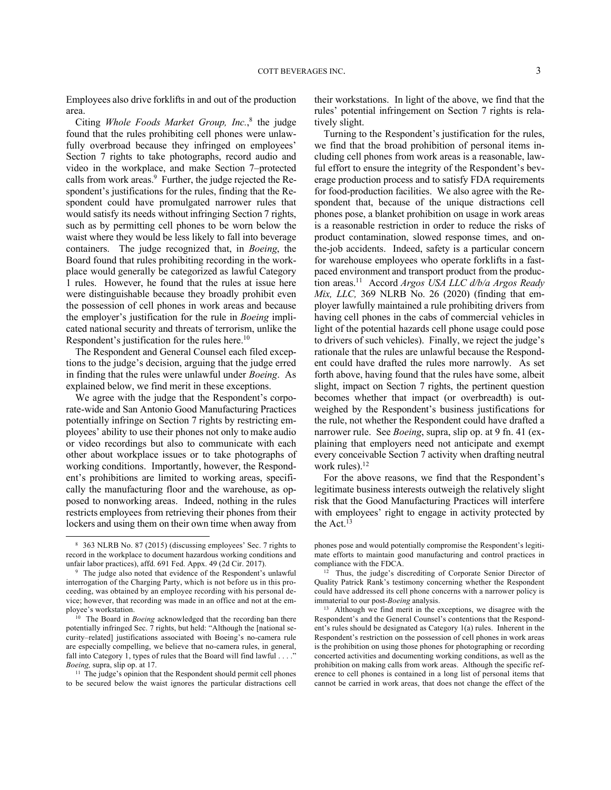Employees also drive forklifts in and out of the production area.

Citing *Whole Foods Market Group, Inc.*, 8 the judge found that the rules prohibiting cell phones were unlawfully overbroad because they infringed on employees' Section 7 rights to take photographs, record audio and video in the workplace, and make Section 7–protected calls from work areas.<sup>9</sup> Further, the judge rejected the Respondent's justifications for the rules, finding that the Respondent could have promulgated narrower rules that would satisfy its needs without infringing Section 7 rights, such as by permitting cell phones to be worn below the waist where they would be less likely to fall into beverage containers. The judge recognized that, in *Boeing*, the Board found that rules prohibiting recording in the workplace would generally be categorized as lawful Category 1 rules. However, he found that the rules at issue here were distinguishable because they broadly prohibit even the possession of cell phones in work areas and because the employer's justification for the rule in *Boeing* implicated national security and threats of terrorism, unlike the Respondent's justification for the rules here.<sup>10</sup>

The Respondent and General Counsel each filed exceptions to the judge's decision, arguing that the judge erred in finding that the rules were unlawful under *Boeing*. As explained below, we find merit in these exceptions.

We agree with the judge that the Respondent's corporate-wide and San Antonio Good Manufacturing Practices potentially infringe on Section 7 rights by restricting employees' ability to use their phones not only to make audio or video recordings but also to communicate with each other about workplace issues or to take photographs of working conditions. Importantly, however, the Respondent's prohibitions are limited to working areas, specifically the manufacturing floor and the warehouse, as opposed to nonworking areas. Indeed, nothing in the rules restricts employees from retrieving their phones from their lockers and using them on their own time when away from

their workstations. In light of the above, we find that the rules' potential infringement on Section 7 rights is relatively slight.

Turning to the Respondent's justification for the rules, we find that the broad prohibition of personal items including cell phones from work areas is a reasonable, lawful effort to ensure the integrity of the Respondent's beverage production process and to satisfy FDA requirements for food-production facilities. We also agree with the Respondent that, because of the unique distractions cell phones pose, a blanket prohibition on usage in work areas is a reasonable restriction in order to reduce the risks of product contamination, slowed response times, and onthe-job accidents. Indeed, safety is a particular concern for warehouse employees who operate forklifts in a fastpaced environment and transport product from the production areas.<sup>11</sup> Accord *Argos USA LLC d/b/a Argos Ready Mix, LLC,* 369 NLRB No. 26 (2020) (finding that employer lawfully maintained a rule prohibiting drivers from having cell phones in the cabs of commercial vehicles in light of the potential hazards cell phone usage could pose to drivers of such vehicles). Finally, we reject the judge's rationale that the rules are unlawful because the Respondent could have drafted the rules more narrowly. As set forth above, having found that the rules have some, albeit slight, impact on Section 7 rights, the pertinent question becomes whether that impact (or overbreadth) is outweighed by the Respondent's business justifications for the rule, not whether the Respondent could have drafted a narrower rule. See *Boeing*, supra, slip op. at 9 fn. 41 (explaining that employers need not anticipate and exempt every conceivable Section 7 activity when drafting neutral work rules).<sup>12</sup>

For the above reasons, we find that the Respondent's legitimate business interests outweigh the relatively slight risk that the Good Manufacturing Practices will interfere with employees' right to engage in activity protected by the  $Act.<sup>13</sup>$ 

<sup>8</sup> 363 NLRB No. 87 (2015) (discussing employees' Sec. 7 rights to record in the workplace to document hazardous working conditions and unfair labor practices), affd. 691 Fed. Appx. 49 (2d Cir. 2017).

<sup>9</sup> The judge also noted that evidence of the Respondent's unlawful interrogation of the Charging Party, which is not before us in this proceeding, was obtained by an employee recording with his personal device; however, that recording was made in an office and not at the employee's workstation.

<sup>&</sup>lt;sup>10</sup> The Board in *Boeing* acknowledged that the recording ban there potentially infringed Sec. 7 rights, but held: "Although the [national security–related] justifications associated with Boeing's no-camera rule are especially compelling, we believe that no-camera rules, in general, fall into Category 1, types of rules that the Board will find lawful . . . ." *Boeing,* supra, slip op. at 17.

<sup>&</sup>lt;sup>11</sup> The judge's opinion that the Respondent should permit cell phones to be secured below the waist ignores the particular distractions cell

phones pose and would potentially compromise the Respondent's legitimate efforts to maintain good manufacturing and control practices in compliance with the FDCA.

<sup>12</sup> Thus, the judge's discrediting of Corporate Senior Director of Quality Patrick Rank's testimony concerning whether the Respondent could have addressed its cell phone concerns with a narrower policy is immaterial to our post-*Boeing* analysis.

<sup>13</sup> Although we find merit in the exceptions, we disagree with the Respondent's and the General Counsel's contentions that the Respondent's rules should be designated as Category 1(a) rules. Inherent in the Respondent's restriction on the possession of cell phones in work areas is the prohibition on using those phones for photographing or recording concerted activities and documenting working conditions, as well as the prohibition on making calls from work areas. Although the specific reference to cell phones is contained in a long list of personal items that cannot be carried in work areas, that does not change the effect of the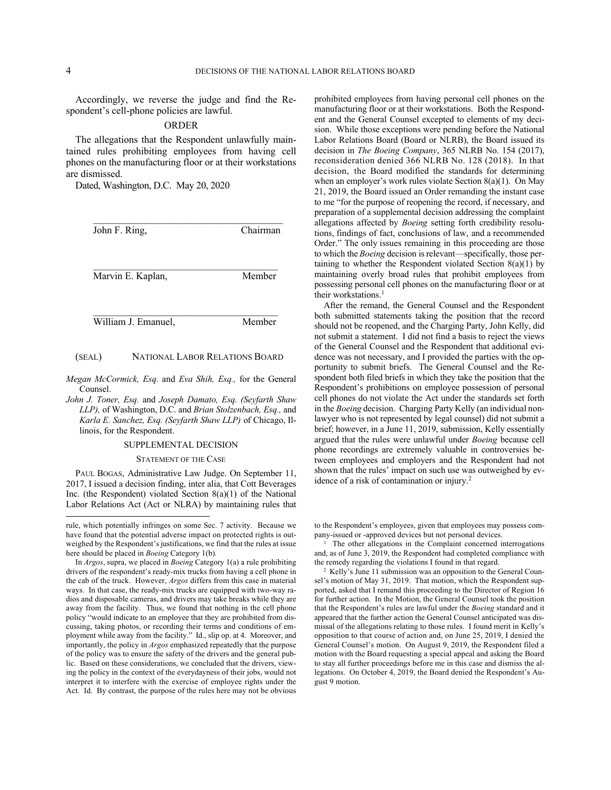Accordingly, we reverse the judge and find the Respondent's cell-phone policies are lawful.

### ORDER

The allegations that the Respondent unlawfully maintained rules prohibiting employees from having cell phones on the manufacturing floor or at their workstations are dismissed.

Dated, Washington, D.C. May 20, 2020

| Chairman |
|----------|
| Member   |
|          |

William J. Emanuel, Member

### (SEAL) NATIONAL LABOR RELATIONS BOARD

- *Megan McCormick, Esq.* and *Eva Shih, Esq.,* for the General Counsel.
- *John J. Toner, Esq.* and *Joseph Damato, Esq. (Seyfarth Shaw LLP),* of Washington, D.C. and *Brian Stolzenbach, Esq.,* and *Karla E. Sanchez, Esq. (Seyfarth Shaw LLP)* of Chicago, Illinois, for the Respondent.

### SUPPLEMENTAL DECISION

STATEMENT OF THE CASE

PAUL BOGAS, Administrative Law Judge. On September 11, 2017, I issued a decision finding, inter alia, that Cott Beverages Inc. (the Respondent) violated Section 8(a)(1) of the National Labor Relations Act (Act or NLRA) by maintaining rules that prohibited employees from having personal cell phones on the manufacturing floor or at their workstations. Both the Respondent and the General Counsel excepted to elements of my decision. While those exceptions were pending before the National Labor Relations Board (Board or NLRB), the Board issued its decision in *The Boeing Company*, 365 NLRB No. 154 (2017), reconsideration denied 366 NLRB No. 128 (2018). In that decision, the Board modified the standards for determining when an employer's work rules violate Section 8(a)(1). On May 21, 2019, the Board issued an Order remanding the instant case to me "for the purpose of reopening the record, if necessary, and preparation of a supplemental decision addressing the complaint allegations affected by *Boeing* setting forth credibility resolutions, findings of fact, conclusions of law, and a recommended Order." The only issues remaining in this proceeding are those to which the *Boeing* decision is relevant—specifically, those pertaining to whether the Respondent violated Section 8(a)(1) by maintaining overly broad rules that prohibit employees from possessing personal cell phones on the manufacturing floor or at their workstations.<sup>1</sup>

After the remand, the General Counsel and the Respondent both submitted statements taking the position that the record should not be reopened, and the Charging Party, John Kelly, did not submit a statement. I did not find a basis to reject the views of the General Counsel and the Respondent that additional evidence was not necessary, and I provided the parties with the opportunity to submit briefs. The General Counsel and the Respondent both filed briefs in which they take the position that the Respondent's prohibitions on employee possession of personal cell phones do not violate the Act under the standards set forth in the *Boeing* decision. Charging Party Kelly (an individual nonlawyer who is not represented by legal counsel) did not submit a brief; however, in a June 11, 2019, submission, Kelly essentially argued that the rules were unlawful under *Boeing* because cell phone recordings are extremely valuable in controversies between employees and employers and the Respondent had not shown that the rules' impact on such use was outweighed by evidence of a risk of contamination or injury.<sup>2</sup>

to the Respondent's employees, given that employees may possess company-issued or -approved devices but not personal devices.

1 The other allegations in the Complaint concerned interrogations and, as of June 3, 2019, the Respondent had completed compliance with the remedy regarding the violations I found in that regard.

2 Kelly's June 11 submission was an opposition to the General Counsel's motion of May 31, 2019. That motion, which the Respondent supported, asked that I remand this proceeding to the Director of Region 16 for further action. In the Motion, the General Counsel took the position that the Respondent's rules are lawful under the *Boeing* standard and it appeared that the further action the General Counsel anticipated was dismissal of the allegations relating to those rules. I found merit in Kelly's opposition to that course of action and, on June 25, 2019, I denied the General Counsel's motion. On August 9, 2019, the Respondent filed a motion with the Board requesting a special appeal and asking the Board to stay all further proceedings before me in this case and dismiss the allegations. On October 4, 2019, the Board denied the Respondent's August 9 motion.

rule, which potentially infringes on some Sec. 7 activity. Because we have found that the potential adverse impact on protected rights is outweighed by the Respondent's justifications, we find that the rules at issue here should be placed in *Boeing* Category 1(b)*.*

In *Argos*, supra, we placed in *Boeing* Category 1(a) a rule prohibiting drivers of the respondent's ready-mix trucks from having a cell phone in the cab of the truck. However, *Argos* differs from this case in material ways. In that case, the ready-mix trucks are equipped with two-way radios and disposable cameras, and drivers may take breaks while they are away from the facility. Thus, we found that nothing in the cell phone policy "would indicate to an employee that they are prohibited from discussing, taking photos, or recording their terms and conditions of employment while away from the facility." Id., slip op. at 4. Moreover, and importantly, the policy in *Argos* emphasized repeatedly that the purpose of the policy was to ensure the safety of the drivers and the general public. Based on these considerations, we concluded that the drivers, viewing the policy in the context of the everydayness of their jobs, would not interpret it to interfere with the exercise of employee rights under the Act. Id. By contrast, the purpose of the rules here may not be obvious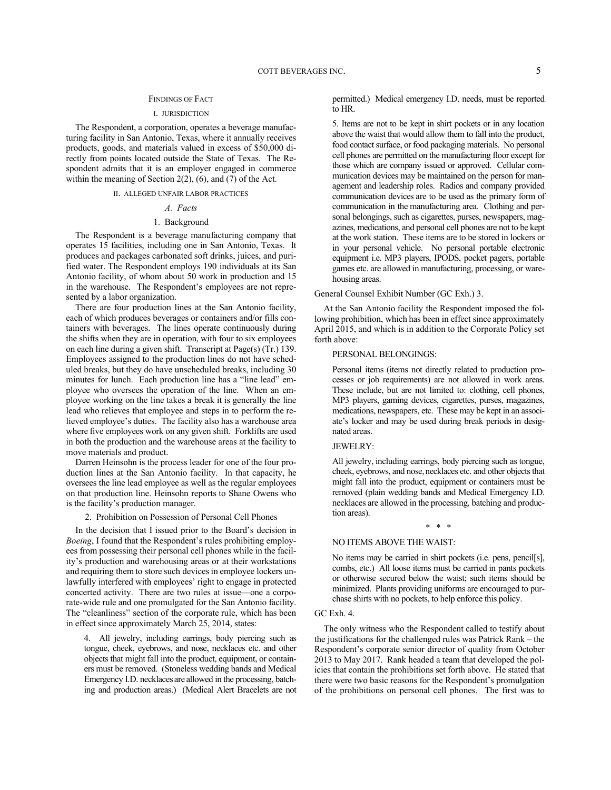## FINDINGS OF FACT

### I. JURISDICTION

The Respondent, a corporation, operates a beverage manufacturing facility in San Antonio, Texas, where it annually receives products, goods, and materials valued in excess of \$50,000 directly from points located outside the State of Texas. The Respondent admits that it is an employer engaged in commerce within the meaning of Section 2(2), (6), and (7) of the Act.

# II. ALLEGED UNFAIR LABOR PRACTICES

## *A. Facts*

# 1. Background

The Respondent is a beverage manufacturing company that operates 15 facilities, including one in San Antonio, Texas. It produces and packages carbonated soft drinks, juices, and purified water. The Respondent employs 190 individuals at its San Antonio facility, of whom about 50 work in production and 15 in the warehouse. The Respondent's employees are not represented by a labor organization.

There are four production lines at the San Antonio facility, each of which produces beverages or containers and/or fills containers with beverages. The lines operate continuously during the shifts when they are in operation, with four to six employees on each line during a given shift. Transcript at Page(s) (Tr.) 139. Employees assigned to the production lines do not have scheduled breaks, but they do have unscheduled breaks, including 30 minutes for lunch. Each production line has a "line lead" employee who oversees the operation of the line. When an employee working on the line takes a break it is generally the line lead who relieves that employee and steps in to perform the relieved employee's duties. The facility also has a warehouse area where five employees work on any given shift. Forklifts are used in both the production and the warehouse areas at the facility to move materials and product.

Darren Heinsohn is the process leader for one of the four production lines at the San Antonio facility. In that capacity, he oversees the line lead employee as well as the regular employees on that production line. Heinsohn reports to Shane Owens who is the facility's production manager.

2. Prohibition on Possession of Personal Cell Phones

In the decision that I issued prior to the Board's decision in *Boeing*, I found that the Respondent's rules prohibiting employees from possessing their personal cell phones while in the facility's production and warehousing areas or at their workstations and requiring them to store such devices in employee lockers unlawfully interfered with employees' right to engage in protected concerted activity. There are two rules at issue—one a corporate-wide rule and one promulgated for the San Antonio facility. The "cleanliness" section of the corporate rule, which has been in effect since approximately March 25, 2014, states:

4. All jewelry, including earrings, body piercing such as tongue, cheek, eyebrows, and nose, necklaces etc. and other objects that might fall into the product, equipment, or containers must be removed. (Stoneless wedding bands and Medical Emergency I.D. necklaces are allowed in the processing, batching and production areas.) (Medical Alert Bracelets are not

permitted.) Medical emergency I.D. needs, must be reported to HR.

5. Items are not to be kept in shirt pockets or in any location above the waist that would allow them to fall into the product, food contact surface, or food packaging materials. No personal cell phones are permitted on the manufacturing floor except for those which are company issued or approved. Cellular communication devices may be maintained on the person for management and leadership roles. Radios and company provided communication devices are to be used as the primary form of communication in the manufacturing area. Clothing and personal belongings, such as cigarettes, purses, newspapers, magazines, medications, and personal cell phones are not to be kept at the work station. These items are to be stored in lockers or in your personal vehicle. No personal portable electronic equipment i.e. MP3 players, IPODS, pocket pagers, portable games etc. are allowed in manufacturing, processing, or warehousing areas.

#### General Counsel Exhibit Number (GC Exh.) 3.

At the San Antonio facility the Respondent imposed the following prohibition, which has been in effect since approximately April 2015, and which is in addition to the Corporate Policy set forth above:

#### PERSONAL BELONGINGS:

Personal items (items not directly related to production processes or job requirements) are not allowed in work areas. These include, but are not limited to: clothing, cell phones, MP3 players, gaming devices, cigarettes, purses, magazines, medications, newspapers, etc. These may be kept in an associate's locker and may be used during break periods in designated areas.

### JEWELRY:

All jewelry, including earrings, body piercing such as tongue, cheek, eyebrows, and nose, necklaces etc. and other objects that might fall into the product, equipment or containers must be removed (plain wedding bands and Medical Emergency I.D. necklaces are allowed in the processing, batching and production areas).

### \* \* \*

## NO ITEMS ABOVE THE WAIST:

No items may be carried in shirt pockets (i.e. pens, pencil[s], combs, etc.) All loose items must be carried in pants pockets or otherwise secured below the waist; such items should be minimized. Plants providing uniforms are encouraged to purchase shirts with no pockets, to help enforce this policy.

## GC Exh. 4.

The only witness who the Respondent called to testify about the justifications for the challenged rules was Patrick Rank – the Respondent's corporate senior director of quality from October 2013 to May 2017. Rank headed a team that developed the policies that contain the prohibitions set forth above. He stated that there were two basic reasons for the Respondent's promulgation of the prohibitions on personal cell phones. The first was to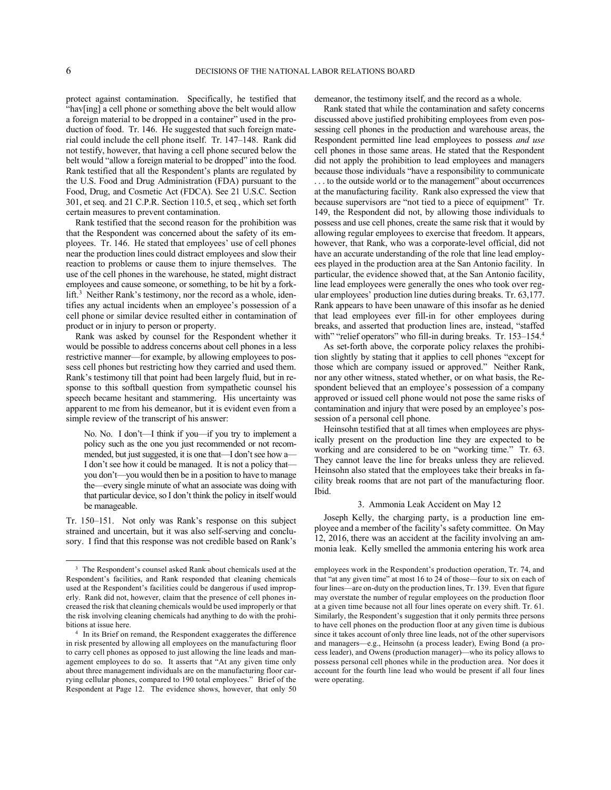protect against contamination. Specifically, he testified that "hav[ing] a cell phone or something above the belt would allow a foreign material to be dropped in a container" used in the production of food. Tr. 146. He suggested that such foreign material could include the cell phone itself. Tr. 147–148. Rank did not testify, however, that having a cell phone secured below the belt would "allow a foreign material to be dropped" into the food. Rank testified that all the Respondent's plants are regulated by the U.S. Food and Drug Administration (FDA) pursuant to the Food, Drug, and Cosmetic Act (FDCA). See 21 U.S.C. Section 301, et seq. and 21 C.P.R. Section 110.5, et seq*.*, which set forth certain measures to prevent contamination.

Rank testified that the second reason for the prohibition was that the Respondent was concerned about the safety of its employees. Tr. 146. He stated that employees' use of cell phones near the production lines could distract employees and slow their reaction to problems or cause them to injure themselves. The use of the cell phones in the warehouse, he stated, might distract employees and cause someone, or something, to be hit by a forklift.<sup>3</sup> Neither Rank's testimony, nor the record as a whole, identifies any actual incidents when an employee's possession of a cell phone or similar device resulted either in contamination of product or in injury to person or property.

Rank was asked by counsel for the Respondent whether it would be possible to address concerns about cell phones in a less restrictive manner—for example, by allowing employees to possess cell phones but restricting how they carried and used them. Rank's testimony till that point had been largely fluid, but in response to this softball question from sympathetic counsel his speech became hesitant and stammering. His uncertainty was apparent to me from his demeanor, but it is evident even from a simple review of the transcript of his answer:

No. No. I don't—I think if you—if you try to implement a policy such as the one you just recommended or not recommended, but just suggested, it is one that—I don't see how a— I don't see how it could be managed. It is not a policy that you don't—you would then be in a position to have to manage the—every single minute of what an associate was doing with that particular device, so I don't think the policy in itself would be manageable.

Tr. 150–151. Not only was Rank's response on this subject strained and uncertain, but it was also self-serving and conclusory. I find that this response was not credible based on Rank's demeanor, the testimony itself, and the record as a whole.

Rank stated that while the contamination and safety concerns discussed above justified prohibiting employees from even possessing cell phones in the production and warehouse areas, the Respondent permitted line lead employees to possess *and use* cell phones in those same areas. He stated that the Respondent did not apply the prohibition to lead employees and managers because those individuals "have a responsibility to communicate . . . to the outside world or to the management" about occurrences at the manufacturing facility. Rank also expressed the view that because supervisors are "not tied to a piece of equipment" Tr. 149, the Respondent did not, by allowing those individuals to possess and use cell phones, create the same risk that it would by allowing regular employees to exercise that freedom. It appears, however, that Rank, who was a corporate-level official, did not have an accurate understanding of the role that line lead employees played in the production area at the San Antonio facility. In particular, the evidence showed that, at the San Antonio facility, line lead employees were generally the ones who took over regular employees' production line duties during breaks. Tr. 63,177. Rank appears to have been unaware of this insofar as he denied that lead employees ever fill-in for other employees during breaks, and asserted that production lines are, instead, "staffed with" "relief operators" who fill-in during breaks. Tr. 153–154.4

As set-forth above, the corporate policy relaxes the prohibition slightly by stating that it applies to cell phones "except for those which are company issued or approved." Neither Rank, nor any other witness, stated whether, or on what basis, the Respondent believed that an employee's possession of a company approved or issued cell phone would not pose the same risks of contamination and injury that were posed by an employee's possession of a personal cell phone.

Heinsohn testified that at all times when employees are physically present on the production line they are expected to be working and are considered to be on "working time." Tr. 63. They cannot leave the line for breaks unless they are relieved. Heinsohn also stated that the employees take their breaks in facility break rooms that are not part of the manufacturing floor. Ibid.

#### 3. Ammonia Leak Accident on May 12

Joseph Kelly, the charging party, is a production line employee and a member of the facility's safety committee. On May 12, 2016, there was an accident at the facility involving an ammonia leak. Kelly smelled the ammonia entering his work area

<sup>&</sup>lt;sup>3</sup> The Respondent's counsel asked Rank about chemicals used at the Respondent's facilities, and Rank responded that cleaning chemicals used at the Respondent's facilities could be dangerous if used improperly. Rank did not, however, claim that the presence of cell phones increased the risk that cleaning chemicals would be used improperly or that the risk involving cleaning chemicals had anything to do with the prohibitions at issue here.

<sup>4</sup> In its Brief on remand, the Respondent exaggerates the difference in risk presented by allowing all employees on the manufacturing floor to carry cell phones as opposed to just allowing the line leads and management employees to do so. It asserts that "At any given time only about three management individuals are on the manufacturing floor carrying cellular phones, compared to 190 total employees." Brief of the Respondent at Page 12. The evidence shows, however, that only 50

employees work in the Respondent's production operation, Tr. 74, and that "at any given time" at most 16 to 24 of those—four to six on each of four lines—are on-duty on the production lines, Tr. 139. Even that figure may overstate the number of regular employees on the production floor at a given time because not all four lines operate on every shift. Tr. 61. Similarly, the Respondent's suggestion that it only permits three persons to have cell phones on the production floor at any given time is dubious since it takes account of only three line leads, not of the other supervisors and managers—e.g., Heinsohn (a process leader), Ewing Bond (a process leader), and Owens (production manager)—who its policy allows to possess personal cell phones while in the production area. Nor does it account for the fourth line lead who would be present if all four lines were operating.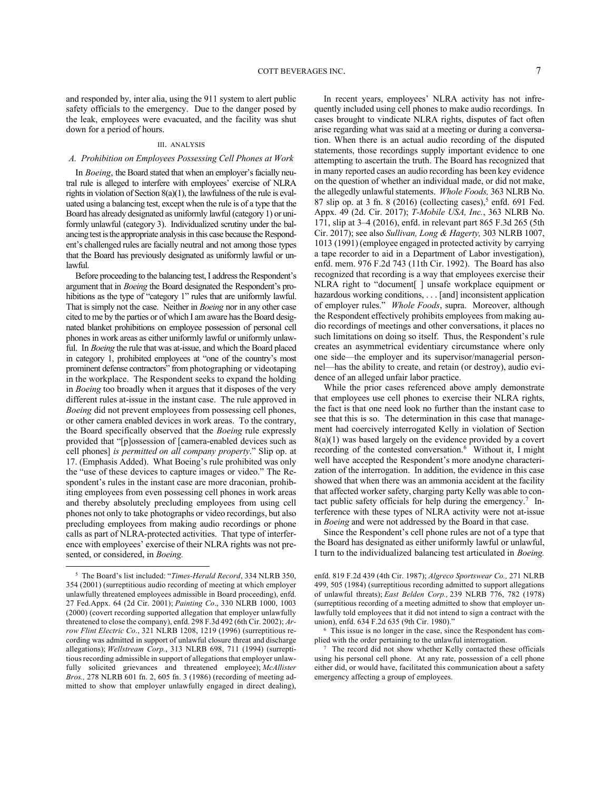and responded by, inter alia, using the 911 system to alert public safety officials to the emergency. Due to the danger posed by the leak, employees were evacuated, and the facility was shut down for a period of hours.

#### III. ANALYSIS

## *A. Prohibition on Employees Possessing Cell Phones at Work*

In *Boeing*, the Board stated that when an employer's facially neutral rule is alleged to interfere with employees' exercise of NLRA rights in violation of Section 8(a)(1), the lawfulness of the rule is evaluated using a balancing test, except when the rule is of a type that the Board has already designated as uniformly lawful (category 1) or uniformly unlawful (category 3). Individualized scrutiny under the balancing test is the appropriate analysis in this case because the Respondent's challenged rules are facially neutral and not among those types that the Board has previously designated as uniformly lawful or unlawful.

Before proceeding to the balancing test, I address the Respondent's argument that in *Boeing* the Board designated the Respondent's prohibitions as the type of "category 1" rules that are uniformly lawful. That is simply not the case. Neither in *Boeing* nor in any other case cited to me by the parties or of which I am aware has the Board designated blanket prohibitions on employee possession of personal cell phones in work areas as either uniformly lawful or uniformly unlawful. In *Boeing* the rule that was at-issue, and which the Board placed in category 1, prohibited employees at "one of the country's most prominent defense contractors" from photographing or videotaping in the workplace. The Respondent seeks to expand the holding in *Boeing* too broadly when it argues that it disposes of the very different rules at-issue in the instant case. The rule approved in *Boeing* did not prevent employees from possessing cell phones, or other camera enabled devices in work areas. To the contrary, the Board specifically observed that the *Boeing* rule expressly provided that "[p]ossession of [camera-enabled devices such as cell phones] *is permitted on all company property*." Slip op. at 17. (Emphasis Added). What Boeing's rule prohibited was only the "use of these devices to capture images or video." The Respondent's rules in the instant case are more draconian, prohibiting employees from even possessing cell phones in work areas and thereby absolutely precluding employees from using cell phones not only to take photographs or video recordings, but also precluding employees from making audio recordings or phone calls as part of NLRA-protected activities. That type of interference with employees' exercise of their NLRA rights was not presented, or considered, in *Boeing.*

In recent years, employees' NLRA activity has not infrequently included using cell phones to make audio recordings. In cases brought to vindicate NLRA rights, disputes of fact often arise regarding what was said at a meeting or during a conversation. When there is an actual audio recording of the disputed statements, those recordings supply important evidence to one attempting to ascertain the truth. The Board has recognized that in many reported cases an audio recording has been key evidence on the question of whether an individual made, or did not make, the allegedly unlawful statements. *Whole Foods,* 363 NLRB No. 87 slip op. at 3 fn. 8 (2016) (collecting cases),<sup>5</sup> enfd. 691 Fed. Appx. 49 (2d. Cir. 2017); *T-Mobile USA, Inc.*, 363 NLRB No. 171, slip at 3–4 (2016), enfd. in relevant part 865 F.3d 265 (5th Cir. 2017); see also *Sullivan, Long & Hagerty,* 303 NLRB 1007, 1013 (1991) (employee engaged in protected activity by carrying a tape recorder to aid in a Department of Labor investigation), enfd. mem. 976 F.2d 743 (11th Cir. 1992). The Board has also recognized that recording is a way that employees exercise their NLRA right to "document[ ] unsafe workplace equipment or hazardous working conditions, . . . [and] inconsistent application of employer rules." *Whole Foods*, supra. Moreover, although the Respondent effectively prohibits employees from making audio recordings of meetings and other conversations, it places no such limitations on doing so itself. Thus, the Respondent's rule creates an asymmetrical evidentiary circumstance where only one side—the employer and its supervisor/managerial personnel—has the ability to create, and retain (or destroy), audio evidence of an alleged unfair labor practice.

While the prior cases referenced above amply demonstrate that employees use cell phones to exercise their NLRA rights, the fact is that one need look no further than the instant case to see that this is so. The determination in this case that management had coercively interrogated Kelly in violation of Section  $8(a)(1)$  was based largely on the evidence provided by a covert recording of the contested conversation.<sup>6</sup> Without it, I might well have accepted the Respondent's more anodyne characterization of the interrogation. In addition, the evidence in this case showed that when there was an ammonia accident at the facility that affected worker safety, charging party Kelly was able to contact public safety officials for help during the emergency.<sup>7</sup> Interference with these types of NLRA activity were not at-issue in *Boeing* and were not addressed by the Board in that case.

Since the Respondent's cell phone rules are not of a type that the Board has designated as either uniformly lawful or unlawful, I turn to the individualized balancing test articulated in *Boeing.*

<sup>5</sup> The Board's list included: "*Times-Herald Record*, 334 NLRB 350, 354 (2001) (surreptitious audio recording of meeting at which employer unlawfully threatened employees admissible in Board proceeding), enfd. 27 Fed.Appx. 64 (2d Cir. 2001); *Painting Co*., 330 NLRB 1000, 1003 (2000) (covert recording supported allegation that employer unlawfully threatened to close the company), enfd. 298 F.3d 492 (6th Cir. 2002); *Arrow Flint Electric Co*., 321 NLRB 1208, 1219 (1996) (surreptitious recording was admitted in support of unlawful closure threat and discharge allegations); *Wellstream Corp.*, 313 NLRB 698, 711 (1994) (surreptitious recording admissible in support of allegations that employer unlawfully solicited grievances and threatened employee); *McAllister Bros.,* 278 NLRB 601 fn. 2, 605 fn. 3 (1986) (recording of meeting admitted to show that employer unlawfully engaged in direct dealing),

enfd. 819 F.2d 439 (4th Cir. 1987); *Algreco Sportswear Co.,* 271 NLRB 499, 505 (1984) (surreptitious recording admitted to support allegations of unlawful threats); *East Belden Corp.,* 239 NLRB 776, 782 (1978) (surreptitious recording of a meeting admitted to show that employer unlawfully told employees that it did not intend to sign a contract with the union), enfd. 634 F.2d 635 (9th Cir. 1980)."

<sup>6</sup> This issue is no longer in the case, since the Respondent has complied with the order pertaining to the unlawful interrogation.

<sup>&</sup>lt;sup>7</sup> The record did not show whether Kelly contacted these officials using his personal cell phone. At any rate, possession of a cell phone either did, or would have, facilitated this communication about a safety emergency affecting a group of employees.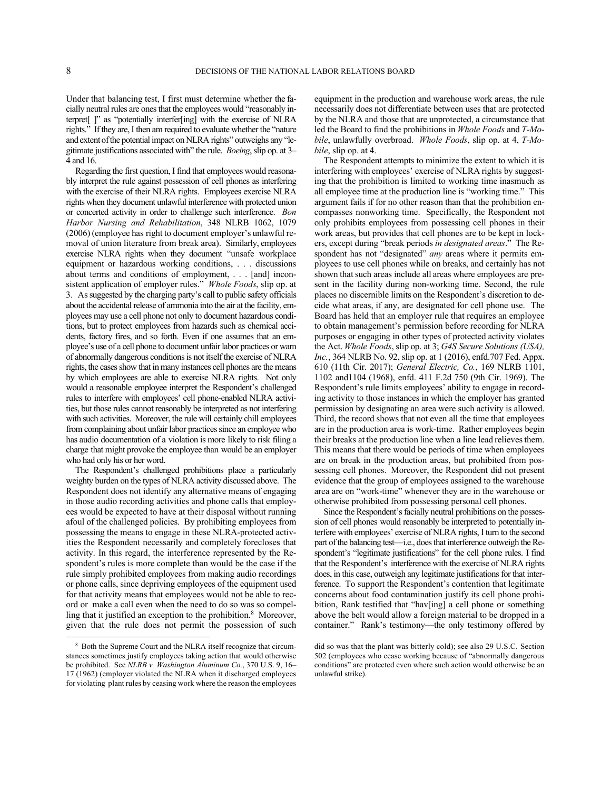Under that balancing test, I first must determine whether the facially neutral rules are ones that the employees would "reasonably interpret[ ]" as "potentially interfer[ing] with the exercise of NLRA rights." If they are, I then am required to evaluate whether the "nature and extent of the potential impact on NLRA rights" outweighs any "legitimate justifications associated with" the rule. *Boeing*, slip op. at 3– 4 and 16.

Regarding the first question, I find that employees would reasonably interpret the rule against possession of cell phones as interfering with the exercise of their NLRA rights. Employees exercise NLRA rights when they document unlawful interference with protected union or concerted activity in order to challenge such interference. *Bon Harbor Nursing and Rehabilitation*, 348 NLRB 1062, 1079 (2006) (employee has right to document employer's unlawful removal of union literature from break area). Similarly, employees exercise NLRA rights when they document "unsafe workplace equipment or hazardous working conditions, . . . discussions about terms and conditions of employment, . . . [and] inconsistent application of employer rules." *Whole Foods*, slip op. at 3. As suggested by the charging party's call to public safety officials about the accidental release of ammonia into the air at the facility, employees may use a cell phone not only to document hazardous conditions, but to protect employees from hazards such as chemical accidents, factory fires, and so forth. Even if one assumes that an employee's use of a cell phone to document unfair labor practices or warn of abnormally dangerous conditions is not itself the exercise of NLRA rights, the cases show that in many instances cell phones are the means by which employees are able to exercise NLRA rights. Not only would a reasonable employee interpret the Respondent's challenged rules to interfere with employees' cell phone-enabled NLRA activities, but those rules cannot reasonably be interpreted as not interfering with such activities. Moreover, the rule will certainly chill employees from complaining about unfair labor practices since an employee who has audio documentation of a violation is more likely to risk filing a charge that might provoke the employee than would be an employer who had only his or her word.

The Respondent's challenged prohibitions place a particularly weighty burden on the types of NLRA activity discussed above. The Respondent does not identify any alternative means of engaging in those audio recording activities and phone calls that employees would be expected to have at their disposal without running afoul of the challenged policies. By prohibiting employees from possessing the means to engage in these NLRA-protected activities the Respondent necessarily and completely forecloses that activity. In this regard, the interference represented by the Respondent's rules is more complete than would be the case if the rule simply prohibited employees from making audio recordings or phone calls, since depriving employees of the equipment used for that activity means that employees would not be able to record or make a call even when the need to do so was so compelling that it justified an exception to the prohibition.<sup>8</sup> Moreover, given that the rule does not permit the possession of such equipment in the production and warehouse work areas, the rule necessarily does not differentiate between uses that are protected by the NLRA and those that are unprotected, a circumstance that led the Board to find the prohibitions in *Whole Foods* and *T-Mobile*, unlawfully overbroad. *Whole Foods*, slip op. at 4, *T-Mobile*, slip op. at 4.

The Respondent attempts to minimize the extent to which it is interfering with employees' exercise of NLRA rights by suggesting that the prohibition is limited to working time inasmuch as all employee time at the production line is "working time." This argument fails if for no other reason than that the prohibition encompasses nonworking time. Specifically, the Respondent not only prohibits employees from possessing cell phones in their work areas, but provides that cell phones are to be kept in lockers, except during "break periods *in designated areas*." The Respondent has not "designated" *any* areas where it permits employees to use cell phones while on breaks, and certainly has not shown that such areas include all areas where employees are present in the facility during non-working time. Second, the rule places no discernible limits on the Respondent's discretion to decide what areas, if any, are designated for cell phone use. The Board has held that an employer rule that requires an employee to obtain management's permission before recording for NLRA purposes or engaging in other types of protected activity violates the Act. *Whole Foods*, slip op. at 3; *G4S Secure Solutions (USA), Inc.*, 364 NLRB No. 92, slip op. at 1 (2016), enfd.707 Fed. Appx. 610 (11th Cir. 2017); *General Electric, Co.*, 169 NLRB 1101, 1102 and1104 (1968), enfd. 411 F.2d 750 (9th Cir. 1969). The Respondent's rule limits employees' ability to engage in recording activity to those instances in which the employer has granted permission by designating an area were such activity is allowed. Third, the record shows that not even all the time that employees are in the production area is work-time. Rather employees begin their breaks at the production line when a line lead relieves them. This means that there would be periods of time when employees are on break in the production areas, but prohibited from possessing cell phones. Moreover, the Respondent did not present evidence that the group of employees assigned to the warehouse area are on "work-time" whenever they are in the warehouse or otherwise prohibited from possessing personal cell phones.

Since the Respondent's facially neutral prohibitions on the possession of cell phones would reasonably be interpreted to potentially interfere with employees' exercise of NLRA rights, I turn to the second part of the balancing test—i.e., does that interference outweigh the Respondent's "legitimate justifications" for the cell phone rules. I find that the Respondent's interference with the exercise of NLRA rights does, in this case, outweigh any legitimate justifications for that interference. To support the Respondent's contention that legitimate concerns about food contamination justify its cell phone prohibition, Rank testified that "hav[ing] a cell phone or something above the belt would allow a foreign material to be dropped in a container." Rank's testimony—the only testimony offered by

<sup>8</sup> Both the Supreme Court and the NLRA itself recognize that circumstances sometimes justify employees taking action that would otherwise be prohibited. See *NLRB v. Washington Aluminum Co.*, 370 U.S. 9, 16– 17 (1962) (employer violated the NLRA when it discharged employees for violating plant rules by ceasing work where the reason the employees

did so was that the plant was bitterly cold); see also 29 U.S.C. Section 502 (employees who cease working because of "abnormally dangerous conditions" are protected even where such action would otherwise be an unlawful strike).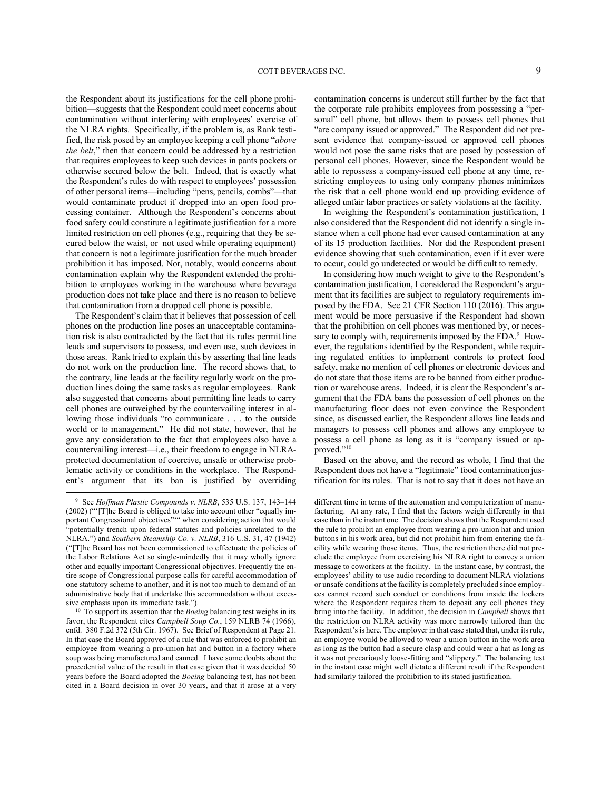the Respondent about its justifications for the cell phone prohibition—suggests that the Respondent could meet concerns about contamination without interfering with employees' exercise of the NLRA rights. Specifically, if the problem is, as Rank testified, the risk posed by an employee keeping a cell phone "*above the belt*," then that concern could be addressed by a restriction that requires employees to keep such devices in pants pockets or otherwise secured below the belt. Indeed, that is exactly what the Respondent's rules do with respect to employees' possession of other personal items—including "pens, pencils, combs"—that would contaminate product if dropped into an open food processing container. Although the Respondent's concerns about food safety could constitute a legitimate justification for a more limited restriction on cell phones (e.g., requiring that they be secured below the waist, or not used while operating equipment) that concern is not a legitimate justification for the much broader prohibition it has imposed. Nor, notably, would concerns about contamination explain why the Respondent extended the prohibition to employees working in the warehouse where beverage production does not take place and there is no reason to believe that contamination from a dropped cell phone is possible.

The Respondent's claim that it believes that possession of cell phones on the production line poses an unacceptable contamination risk is also contradicted by the fact that its rules permit line leads and supervisors to possess, and even use, such devices in those areas. Rank tried to explain this by asserting that line leads do not work on the production line. The record shows that, to the contrary, line leads at the facility regularly work on the production lines doing the same tasks as regular employees. Rank also suggested that concerns about permitting line leads to carry cell phones are outweighed by the countervailing interest in allowing those individuals "to communicate . . . to the outside world or to management." He did not state, however, that he gave any consideration to the fact that employees also have a countervailing interest—i.e., their freedom to engage in NLRAprotected documentation of coercive, unsafe or otherwise problematic activity or conditions in the workplace. The Respondent's argument that its ban is justified by overriding contamination concerns is undercut still further by the fact that the corporate rule prohibits employees from possessing a "personal" cell phone, but allows them to possess cell phones that "are company issued or approved." The Respondent did not present evidence that company-issued or approved cell phones would not pose the same risks that are posed by possession of personal cell phones. However, since the Respondent would be able to repossess a company-issued cell phone at any time, restricting employees to using only company phones minimizes the risk that a cell phone would end up providing evidence of alleged unfair labor practices or safety violations at the facility.

In weighing the Respondent's contamination justification, I also considered that the Respondent did not identify a single instance when a cell phone had ever caused contamination at any of its 15 production facilities. Nor did the Respondent present evidence showing that such contamination, even if it ever were to occur, could go undetected or would be difficult to remedy.

In considering how much weight to give to the Respondent's contamination justification, I considered the Respondent's argument that its facilities are subject to regulatory requirements imposed by the FDA. See 21 CFR Section 110 (2016). This argument would be more persuasive if the Respondent had shown that the prohibition on cell phones was mentioned by, or necessary to comply with, requirements imposed by the FDA.<sup>9</sup> However, the regulations identified by the Respondent, while requiring regulated entities to implement controls to protect food safety, make no mention of cell phones or electronic devices and do not state that those items are to be banned from either production or warehouse areas. Indeed, it is clear the Respondent's argument that the FDA bans the possession of cell phones on the manufacturing floor does not even convince the Respondent since, as discussed earlier, the Respondent allows line leads and managers to possess cell phones and allows any employee to possess a cell phone as long as it is "company issued or approved."<sup>10</sup>

Based on the above, and the record as whole, I find that the Respondent does not have a "legitimate" food contamination justification for its rules. That is not to say that it does not have an

<sup>9</sup> See *Hoffman Plastic Compounds v. NLRB*, 535 U.S. 137, 143–144 (2002) ("'[T]he Board is obliged to take into account other "equally important Congressional objectives"'" when considering action that would "potentially trench upon federal statutes and policies unrelated to the NLRA.") and *Southern Steamship Co. v. NLRB*, 316 U.S. 31, 47 (1942) ("[T]he Board has not been commissioned to effectuate the policies of the Labor Relations Act so single-mindedly that it may wholly ignore other and equally important Congressional objectives. Frequently the entire scope of Congressional purpose calls for careful accommodation of one statutory scheme to another, and it is not too much to demand of an administrative body that it undertake this accommodation without excessive emphasis upon its immediate task.").

<sup>&</sup>lt;sup>10</sup> To support its assertion that the *Boeing* balancing test weighs in its favor, the Respondent cites *Campbell Soup Co.*, 159 NLRB 74 (1966), enfd. 380 F.2d 372 (5th Cir. 1967). See Brief of Respondent at Page 21. In that case the Board approved of a rule that was enforced to prohibit an employee from wearing a pro-union hat and button in a factory where soup was being manufactured and canned. I have some doubts about the precedential value of the result in that case given that it was decided 50 years before the Board adopted the *Boeing* balancing test, has not been cited in a Board decision in over 30 years, and that it arose at a very

different time in terms of the automation and computerization of manufacturing. At any rate, I find that the factors weigh differently in that case than in the instant one. The decision shows that the Respondent used the rule to prohibit an employee from wearing a pro-union hat and union buttons in his work area, but did not prohibit him from entering the facility while wearing those items. Thus, the restriction there did not preclude the employee from exercising his NLRA right to convey a union message to coworkers at the facility. In the instant case, by contrast, the employees' ability to use audio recording to document NLRA violations or unsafe conditions at the facility is completely precluded since employees cannot record such conduct or conditions from inside the lockers where the Respondent requires them to deposit any cell phones they bring into the facility. In addition, the decision in *Campbell* shows that the restriction on NLRA activity was more narrowly tailored than the Respondent's is here. The employer in that case stated that, under its rule, an employee would be allowed to wear a union button in the work area as long as the button had a secure clasp and could wear a hat as long as it was not precariously loose-fitting and "slippery." The balancing test in the instant case might well dictate a different result if the Respondent had similarly tailored the prohibition to its stated justification.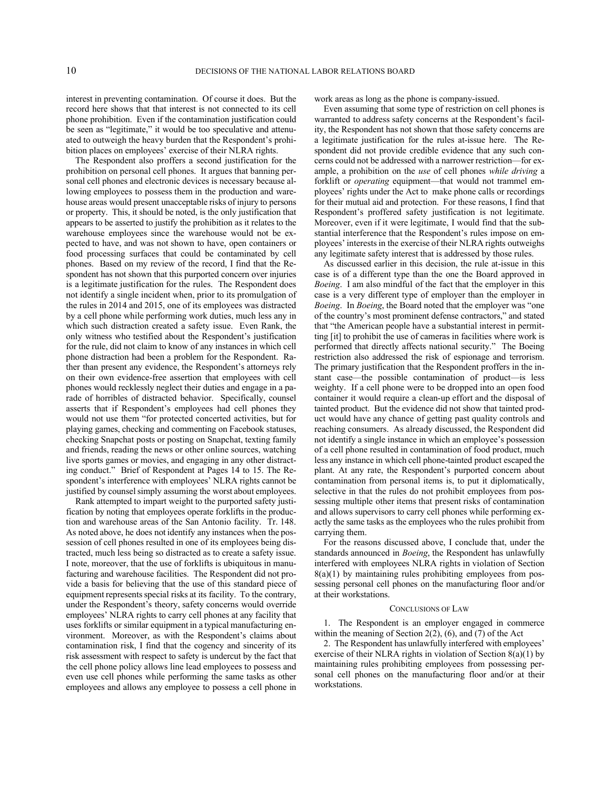interest in preventing contamination. Of course it does. But the record here shows that that interest is not connected to its cell phone prohibition. Even if the contamination justification could be seen as "legitimate," it would be too speculative and attenuated to outweigh the heavy burden that the Respondent's prohibition places on employees' exercise of their NLRA rights.

The Respondent also proffers a second justification for the prohibition on personal cell phones. It argues that banning personal cell phones and electronic devices is necessary because allowing employees to possess them in the production and warehouse areas would present unacceptable risks of injury to persons or property. This, it should be noted, is the only justification that appears to be asserted to justify the prohibition as it relates to the warehouse employees since the warehouse would not be expected to have, and was not shown to have, open containers or food processing surfaces that could be contaminated by cell phones. Based on my review of the record, I find that the Respondent has not shown that this purported concern over injuries is a legitimate justification for the rules. The Respondent does not identify a single incident when, prior to its promulgation of the rules in 2014 and 2015, one of its employees was distracted by a cell phone while performing work duties, much less any in which such distraction created a safety issue. Even Rank, the only witness who testified about the Respondent's justification for the rule, did not claim to know of any instances in which cell phone distraction had been a problem for the Respondent. Rather than present any evidence, the Respondent's attorneys rely on their own evidence-free assertion that employees with cell phones would recklessly neglect their duties and engage in a parade of horribles of distracted behavior. Specifically, counsel asserts that if Respondent's employees had cell phones they would not use them "for protected concerted activities, but for playing games, checking and commenting on Facebook statuses, checking Snapchat posts or posting on Snapchat, texting family and friends, reading the news or other online sources, watching live sports games or movies, and engaging in any other distracting conduct." Brief of Respondent at Pages 14 to 15. The Respondent's interference with employees' NLRA rights cannot be justified by counsel simply assuming the worst about employees.

Rank attempted to impart weight to the purported safety justification by noting that employees operate forklifts in the production and warehouse areas of the San Antonio facility. Tr. 148. As noted above, he does not identify any instances when the possession of cell phones resulted in one of its employees being distracted, much less being so distracted as to create a safety issue. I note, moreover, that the use of forklifts is ubiquitous in manufacturing and warehouse facilities. The Respondent did not provide a basis for believing that the use of this standard piece of equipment represents special risks at its facility. To the contrary, under the Respondent's theory, safety concerns would override employees' NLRA rights to carry cell phones at any facility that uses forklifts or similar equipment in a typical manufacturing environment. Moreover, as with the Respondent's claims about contamination risk, I find that the cogency and sincerity of its risk assessment with respect to safety is undercut by the fact that the cell phone policy allows line lead employees to possess and even use cell phones while performing the same tasks as other employees and allows any employee to possess a cell phone in

work areas as long as the phone is company-issued.

Even assuming that some type of restriction on cell phones is warranted to address safety concerns at the Respondent's facility, the Respondent has not shown that those safety concerns are a legitimate justification for the rules at-issue here. The Respondent did not provide credible evidence that any such concerns could not be addressed with a narrower restriction—for example, a prohibition on the *use* of cell phones *while driving* a forklift or *operating* equipment—that would not trammel employees' rights under the Act to make phone calls or recordings for their mutual aid and protection. For these reasons, I find that Respondent's proffered safety justification is not legitimate. Moreover, even if it were legitimate, I would find that the substantial interference that the Respondent's rules impose on employees' interests in the exercise of their NLRA rights outweighs any legitimate safety interest that is addressed by those rules.

As discussed earlier in this decision, the rule at-issue in this case is of a different type than the one the Board approved in *Boeing*. I am also mindful of the fact that the employer in this case is a very different type of employer than the employer in *Boeing*. In *Boeing*, the Board noted that the employer was "one of the country's most prominent defense contractors," and stated that "the American people have a substantial interest in permitting [it] to prohibit the use of cameras in facilities where work is performed that directly affects national security." The Boeing restriction also addressed the risk of espionage and terrorism. The primary justification that the Respondent proffers in the instant case—the possible contamination of product—is less weighty. If a cell phone were to be dropped into an open food container it would require a clean-up effort and the disposal of tainted product. But the evidence did not show that tainted product would have any chance of getting past quality controls and reaching consumers. As already discussed, the Respondent did not identify a single instance in which an employee's possession of a cell phone resulted in contamination of food product, much less any instance in which cell phone-tainted product escaped the plant. At any rate, the Respondent's purported concern about contamination from personal items is, to put it diplomatically, selective in that the rules do not prohibit employees from possessing multiple other items that present risks of contamination and allows supervisors to carry cell phones while performing exactly the same tasks as the employees who the rules prohibit from carrying them.

For the reasons discussed above, I conclude that, under the standards announced in *Boeing*, the Respondent has unlawfully interfered with employees NLRA rights in violation of Section  $8(a)(1)$  by maintaining rules prohibiting employees from possessing personal cell phones on the manufacturing floor and/or at their workstations.

## CONCLUSIONS OF LAW

1. The Respondent is an employer engaged in commerce within the meaning of Section 2(2), (6), and (7) of the Act

2. The Respondent has unlawfully interfered with employees' exercise of their NLRA rights in violation of Section 8(a)(1) by maintaining rules prohibiting employees from possessing personal cell phones on the manufacturing floor and/or at their workstations.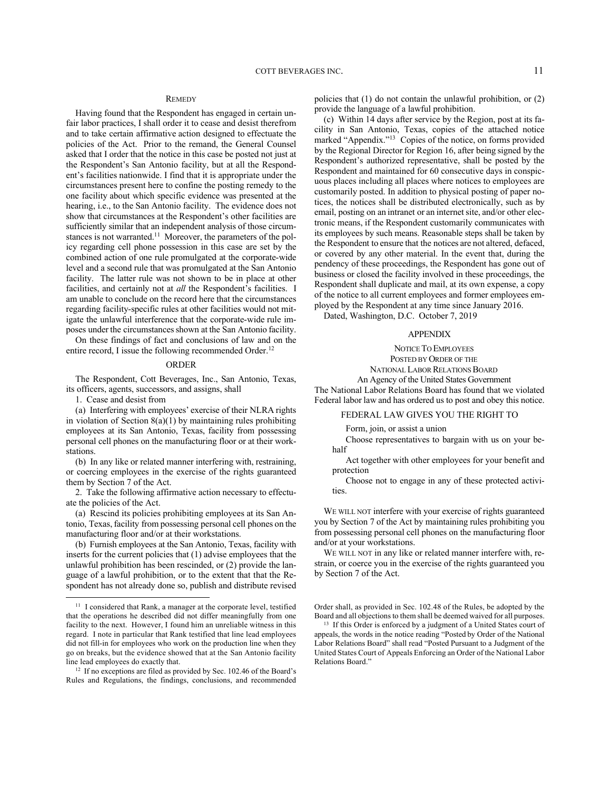# **REMEDY**

Having found that the Respondent has engaged in certain unfair labor practices, I shall order it to cease and desist therefrom and to take certain affirmative action designed to effectuate the policies of the Act. Prior to the remand, the General Counsel asked that I order that the notice in this case be posted not just at the Respondent's San Antonio facility, but at all the Respondent's facilities nationwide. I find that it is appropriate under the circumstances present here to confine the posting remedy to the one facility about which specific evidence was presented at the hearing, i.e., to the San Antonio facility. The evidence does not show that circumstances at the Respondent's other facilities are sufficiently similar that an independent analysis of those circumstances is not warranted.<sup>11</sup> Moreover, the parameters of the policy regarding cell phone possession in this case are set by the combined action of one rule promulgated at the corporate-wide level and a second rule that was promulgated at the San Antonio facility. The latter rule was not shown to be in place at other facilities, and certainly not at *all* the Respondent's facilities. I am unable to conclude on the record here that the circumstances regarding facility-specific rules at other facilities would not mitigate the unlawful interference that the corporate-wide rule imposes under the circumstances shown at the San Antonio facility.

On these findings of fact and conclusions of law and on the entire record, I issue the following recommended Order.<sup>12</sup>

### ORDER

The Respondent, Cott Beverages, Inc., San Antonio, Texas, its officers, agents, successors, and assigns, shall

1. Cease and desist from

(a) Interfering with employees' exercise of their NLRA rights in violation of Section  $8(a)(1)$  by maintaining rules prohibiting employees at its San Antonio, Texas, facility from possessing personal cell phones on the manufacturing floor or at their workstations.

(b) In any like or related manner interfering with, restraining, or coercing employees in the exercise of the rights guaranteed them by Section 7 of the Act.

2. Take the following affirmative action necessary to effectuate the policies of the Act.

(a) Rescind its policies prohibiting employees at its San Antonio, Texas, facility from possessing personal cell phones on the manufacturing floor and/or at their workstations.

(b) Furnish employees at the San Antonio, Texas, facility with inserts for the current policies that (1) advise employees that the unlawful prohibition has been rescinded, or (2) provide the language of a lawful prohibition, or to the extent that that the Respondent has not already done so, publish and distribute revised

<sup>12</sup> If no exceptions are filed as provided by Sec. 102.46 of the Board's Rules and Regulations, the findings, conclusions, and recommended

policies that (1) do not contain the unlawful prohibition, or (2) provide the language of a lawful prohibition.

(c) Within 14 days after service by the Region, post at its facility in San Antonio, Texas, copies of the attached notice marked "Appendix."<sup>13</sup> Copies of the notice, on forms provided by the Regional Director for Region 16, after being signed by the Respondent's authorized representative, shall be posted by the Respondent and maintained for 60 consecutive days in conspicuous places including all places where notices to employees are customarily posted. In addition to physical posting of paper notices, the notices shall be distributed electronically, such as by email, posting on an intranet or an internet site, and/or other electronic means, if the Respondent customarily communicates with its employees by such means. Reasonable steps shall be taken by the Respondent to ensure that the notices are not altered, defaced, or covered by any other material. In the event that, during the pendency of these proceedings, the Respondent has gone out of business or closed the facility involved in these proceedings, the Respondent shall duplicate and mail, at its own expense, a copy of the notice to all current employees and former employees employed by the Respondent at any time since January 2016.

Dated, Washington, D.C. October 7, 2019

### APPENDIX

NOTICE TO EMPLOYEES POSTED BY ORDER OF THE

NATIONAL LABOR RELATIONS BOARD

An Agency of the United States Government

The National Labor Relations Board has found that we violated Federal labor law and has ordered us to post and obey this notice.

# FEDERAL LAW GIVES YOU THE RIGHT TO

Form, join, or assist a union

Choose representatives to bargain with us on your behalf

Act together with other employees for your benefit and protection

Choose not to engage in any of these protected activities.

WE WILL NOT interfere with your exercise of rights guaranteed you by Section 7 of the Act by maintaining rules prohibiting you from possessing personal cell phones on the manufacturing floor and/or at your workstations.

WE WILL NOT in any like or related manner interfere with, restrain, or coerce you in the exercise of the rights guaranteed you by Section 7 of the Act.

Order shall, as provided in Sec. 102.48 of the Rules, be adopted by the Board and all objections to them shall be deemed waived for all purposes.

<sup>&</sup>lt;sup>11</sup> I considered that Rank, a manager at the corporate level, testified that the operations he described did not differ meaningfully from one facility to the next. However, I found him an unreliable witness in this regard. I note in particular that Rank testified that line lead employees did not fill-in for employees who work on the production line when they go on breaks, but the evidence showed that at the San Antonio facility line lead employees do exactly that.

<sup>&</sup>lt;sup>13</sup> If this Order is enforced by a judgment of a United States court of appeals, the words in the notice reading "Posted by Order of the National Labor Relations Board" shall read "Posted Pursuant to a Judgment of the United States Court of Appeals Enforcing an Order of the National Labor Relations Board."